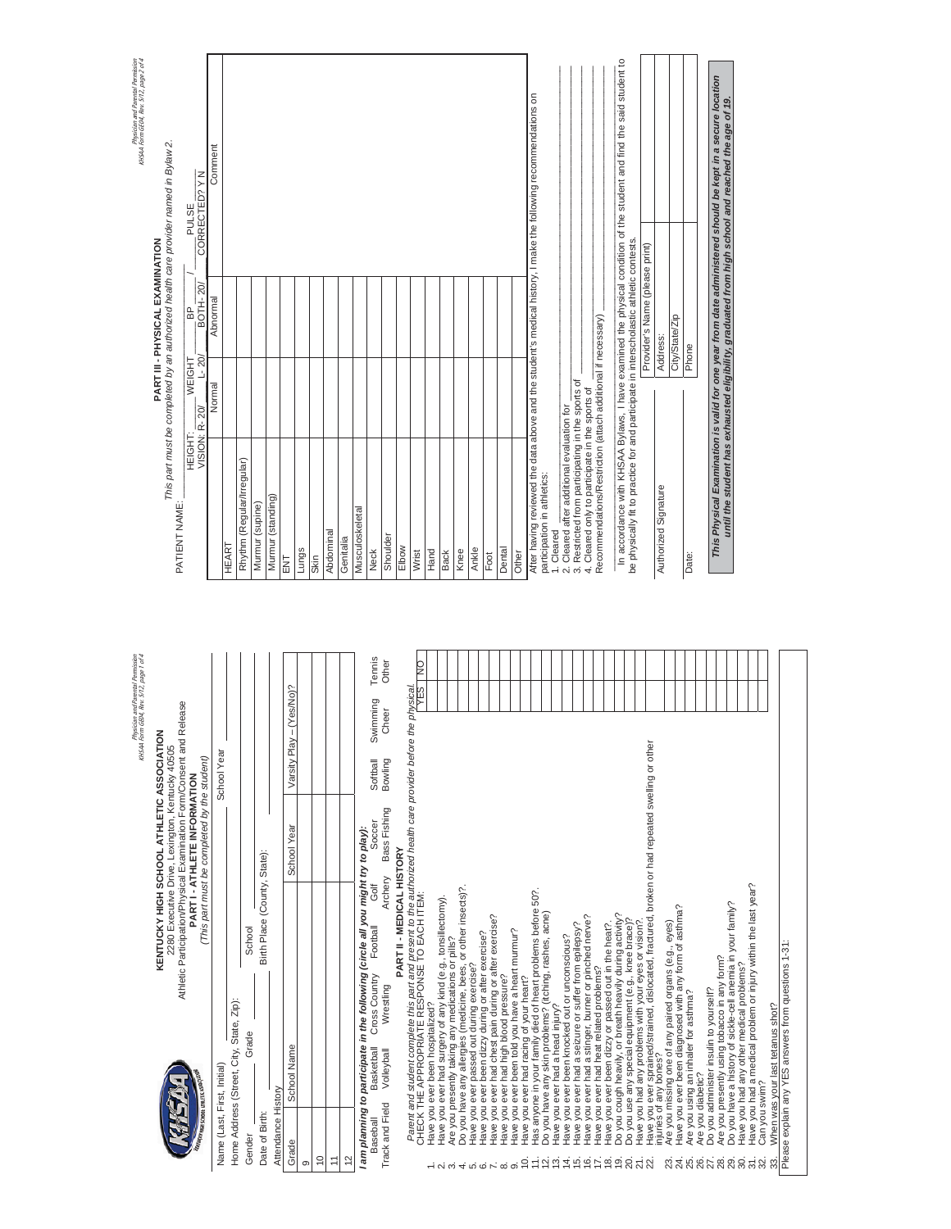|                         | <b>NELEVEN</b>                                                                                               | Atriletic Participation/Physical Examination Point/Consent and Release                                                                                       | PARTI-ATHLETE INFORMATION                    |                              |        | HEIGHT:                                                                                 | å<br>WEIGHT                    | PULSE                                                                                                               |
|-------------------------|--------------------------------------------------------------------------------------------------------------|--------------------------------------------------------------------------------------------------------------------------------------------------------------|----------------------------------------------|------------------------------|--------|-----------------------------------------------------------------------------------------|--------------------------------|---------------------------------------------------------------------------------------------------------------------|
|                         | WAY MEN SCHOOL ATMLETIC ISSOCIATION                                                                          |                                                                                                                                                              | (This part must be completed by the student) |                              |        | VISION: R-20/                                                                           | <b>BOTH-20</b><br>$L - 20$     | CORRECTED? YN                                                                                                       |
|                         | Name (Last, First, Initial)                                                                                  |                                                                                                                                                              |                                              | School Year                  |        |                                                                                         | Abnormal<br>Normal             | Comment                                                                                                             |
|                         | Home Address (Street, City, State, Zip):                                                                     |                                                                                                                                                              |                                              |                              |        | <b>HEART</b>                                                                            |                                |                                                                                                                     |
| Gender                  | Grade                                                                                                        | School                                                                                                                                                       |                                              |                              |        | Rhythm (Regular/Irregular)                                                              |                                |                                                                                                                     |
| Date of Birth:          |                                                                                                              | Birth Place (County, State):                                                                                                                                 |                                              |                              |        | Mumur (supine)                                                                          |                                |                                                                                                                     |
| Attendance History      |                                                                                                              |                                                                                                                                                              |                                              |                              |        | Murmur (standing)                                                                       |                                |                                                                                                                     |
| Grade                   | School Name                                                                                                  |                                                                                                                                                              | School Year                                  | ay - (Yes/No)?<br>Varsity PI |        | <b>ENT</b>                                                                              |                                |                                                                                                                     |
| တ                       |                                                                                                              |                                                                                                                                                              |                                              |                              |        | Lungs                                                                                   |                                |                                                                                                                     |
| $\overline{C}$          |                                                                                                              |                                                                                                                                                              |                                              |                              |        | Skin                                                                                    |                                |                                                                                                                     |
| $\overline{1}$          |                                                                                                              |                                                                                                                                                              |                                              |                              |        | Abdominal                                                                               |                                |                                                                                                                     |
| 12                      |                                                                                                              |                                                                                                                                                              |                                              |                              |        | Genitalia                                                                               |                                |                                                                                                                     |
|                         |                                                                                                              | I am planning to participate in the following (circle all you might try to play):                                                                            |                                              |                              |        | Musculoskeletal                                                                         |                                |                                                                                                                     |
| <b>Baseball</b>         | <b>Basketball</b>                                                                                            | ð<br>Go<br>Football<br>Cross Country                                                                                                                         | Soccer                                       | Swimming<br>Softball         | Tennis | <b>Neck</b>                                                                             |                                |                                                                                                                     |
| Track and Field         | Volleyball                                                                                                   | Archery<br>Wrestling                                                                                                                                         | Bass Fishing                                 | Cheer<br>Bowling             | Other  | Shoulder                                                                                |                                |                                                                                                                     |
|                         |                                                                                                              | PART II - MEDICAL HISTORY                                                                                                                                    |                                              |                              |        | Elbow                                                                                   |                                |                                                                                                                     |
|                         |                                                                                                              | Parent and student complete this part and present to the authorized health care provider before the physical<br>CHECK THE APPROPRIATE RESPONSE TO EACH ITEM: |                                              |                              | g      | Wrist                                                                                   |                                |                                                                                                                     |
|                         | Have you ever been hospitalized?                                                                             |                                                                                                                                                              |                                              |                              |        | Hand                                                                                    |                                |                                                                                                                     |
|                         |                                                                                                              | Have you ever had surgery of any kind (e.g., tonsillectomy).                                                                                                 |                                              |                              |        | <b>Back</b>                                                                             |                                |                                                                                                                     |
|                         | Are you presently taking any medications or pills?                                                           |                                                                                                                                                              |                                              |                              |        |                                                                                         |                                |                                                                                                                     |
|                         |                                                                                                              | Do you have any allergies (medicine, bees, or other insects)?.                                                                                               |                                              |                              |        | Knee                                                                                    |                                |                                                                                                                     |
|                         | Have you ever passed out during exercise?                                                                    |                                                                                                                                                              |                                              |                              |        | Ankle                                                                                   |                                |                                                                                                                     |
|                         | Have you ever had chest pain during or after exercise?<br>Have you ever been dizzy during or after exercise? |                                                                                                                                                              |                                              |                              |        | Foot                                                                                    |                                |                                                                                                                     |
| - ல் ன் சு மீ மி உல் வி | Have you ever had high blood pressure?                                                                       |                                                                                                                                                              |                                              |                              |        | Dental                                                                                  |                                |                                                                                                                     |
|                         | Have you ever been told you have a heart murmur?                                                             |                                                                                                                                                              |                                              |                              |        | Other                                                                                   |                                |                                                                                                                     |
| Ó.                      | Have you ever had racing of your heart?                                                                      |                                                                                                                                                              |                                              |                              |        |                                                                                         |                                | After having reviewed the data above and the student's medical history, I make the following recommendations on     |
| É                       | Do you have any skin problems? (itching, rashes, acne)                                                       | Has anyone in your family died of heart problems before 50?.                                                                                                 |                                              |                              |        | participation in athletics:                                                             |                                |                                                                                                                     |
| $\vec{5}$               | Have you ever had a head injury?                                                                             |                                                                                                                                                              |                                              |                              |        | 1. Cleared                                                                              |                                |                                                                                                                     |
|                         | Have you ever been knocked out or unconscious?                                                               |                                                                                                                                                              |                                              |                              |        | 2. Cleared after additional evaluation for                                              |                                |                                                                                                                     |
|                         | Have you ever had a seizure or suffer from epilepsy?                                                         |                                                                                                                                                              |                                              |                              |        | 3. Restricted from participating in the sports of                                       |                                |                                                                                                                     |
|                         | Have you ever had a stinger, burner or pinched nerve?<br>Have you ever had heat related problems?            |                                                                                                                                                              |                                              |                              |        | 4. Cleared only to participate in the sports of                                         |                                |                                                                                                                     |
|                         | Have you ever been dizzy or passed out in the heat?.                                                         |                                                                                                                                                              |                                              |                              |        | Recommendations/Restriction (attach additional if necessary)                            |                                |                                                                                                                     |
| 4.5.67.60               | Do you cough heavily, or breath heavily during activity?                                                     |                                                                                                                                                              |                                              |                              |        |                                                                                         |                                | In accordance with KHSAA Bylaws, I have examined the physical condition of the student and find the said student to |
| 20.                     | Do you use any special equipment (e.g., knee brace)?                                                         |                                                                                                                                                              |                                              |                              |        | be physically fit to practice for and participate in interscholastic athletic contests. |                                |                                                                                                                     |
| 21.<br>22.              | Have you had any problems with your eyes or vision?.                                                         |                                                                                                                                                              |                                              |                              |        |                                                                                         | Provider's Name (please print) |                                                                                                                     |
|                         |                                                                                                              | Have you ever sprained/strained, dislocated, fractured, broken or had repeated swelling or other<br>injuries of any bones?                                   |                                              |                              |        | Authorized Signature                                                                    | Address:                       |                                                                                                                     |
| 23.                     | Are you missing one of any paired organs (e.g., eyes)                                                        |                                                                                                                                                              |                                              |                              |        |                                                                                         |                                |                                                                                                                     |
| 24.                     | Have you ever been diagnosed with any form of asthma?                                                        |                                                                                                                                                              |                                              |                              |        |                                                                                         | City/State/Zip                 |                                                                                                                     |
| 25.                     | Are you using an inhaler for asthma?                                                                         |                                                                                                                                                              |                                              |                              |        | Date:                                                                                   | Phone                          |                                                                                                                     |
| 27.<br>26.              | Do you administer insulin to yourself?<br>Are you diabetic?                                                  |                                                                                                                                                              |                                              |                              |        |                                                                                         |                                |                                                                                                                     |
| 28.                     | Are you presently using tobacco in any form?                                                                 |                                                                                                                                                              |                                              |                              |        |                                                                                         |                                | This Physical Examination is valid for one year from date administered should be kept in a secure location          |
| 29.                     | Do you have a history of sickle-cell anemia in your family?                                                  |                                                                                                                                                              |                                              |                              |        |                                                                                         |                                | until the student has exhausted eligibility, graduated from high school and reached the age of 19.                  |
|                         | Have you had any other medical problems?                                                                     |                                                                                                                                                              |                                              |                              |        |                                                                                         |                                |                                                                                                                     |
|                         |                                                                                                              | Have you had a medical problem or injury within the last year?<br>Can you swim?                                                                              |                                              |                              |        |                                                                                         |                                |                                                                                                                     |
|                         |                                                                                                              |                                                                                                                                                              |                                              |                              |        |                                                                                         |                                |                                                                                                                     |

Physician and Parental Permission<br>KHSAA Form GEO4, Rev. 5/12, page 1 of 4 Physician and Parental Permission

KHSAA Form GE04, Rev. 5/12, page 1 of 4

PATIENT NAME:

PATIENT NAME: \_\_\_\_\_\_\_\_\_\_\_\_\_\_\_\_\_\_\_\_\_\_\_\_\_\_\_\_\_\_\_\_\_\_\_\_\_\_\_\_\_\_\_\_

Physician and Parental Permission<br>KHSAA Form GEO4, Rev. \$712, page 2 of 4 Physician and Parental Permission KHSAA Form GE04, Rev. 5/12, page 2 of 4

PART III - PHYSICAL EXAMINATION<br>This part must be completed by an authorized health care provider named in Bylaw 2. *This part must be completed by an authorized health care provider named in Bylaw 2.*  **PART III - PHYSICAL EXAMINATION** 

**KENTUCKY HIGH SCHOOL ATHLETIC ASSOCIATION MEAN** 

KENTUCKY HIGH SCHOOL ATHLETIC ASSOCIATION<br>2280 Executive Drive, Lexington, Kentucky 40505<br>Athletic Participation/Physical Examination Form/Consent and Release Athletic Participation/Physical Examination Form/Consent and Release 2280 Executive Drive, Lexington, Kentucky 40505

32. Can you swim?

32. Can you swim?<br>33. When was your last tetanus shot?<br>Please explain any YES answers from questions 1-31: Please explain any YES answers from questions 1-31:

33. When was your last tetanus shot?